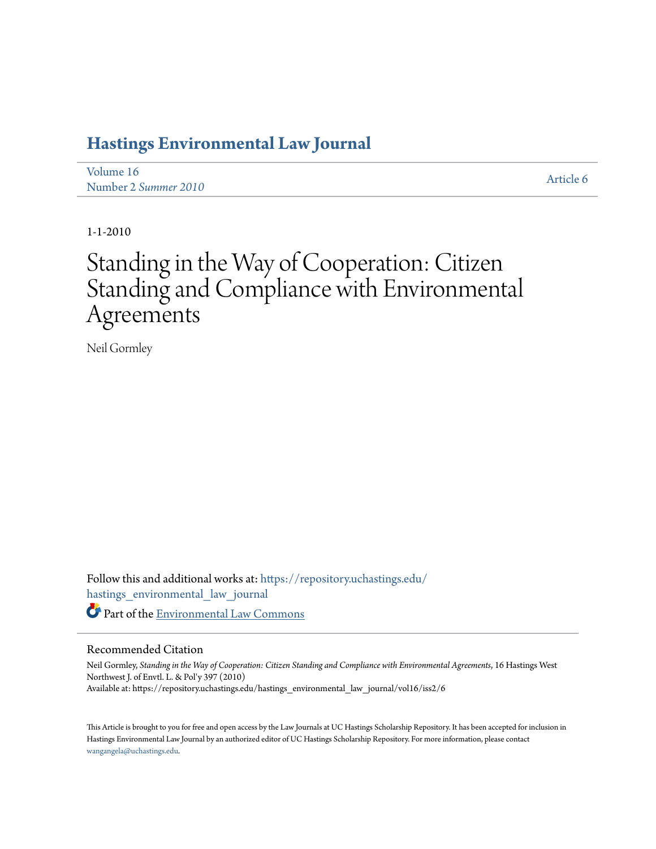## **[Hastings Environmental Law Journal](https://repository.uchastings.edu/hastings_environmental_law_journal?utm_source=repository.uchastings.edu%2Fhastings_environmental_law_journal%2Fvol16%2Fiss2%2F6&utm_medium=PDF&utm_campaign=PDFCoverPages)**

[Volume 16](https://repository.uchastings.edu/hastings_environmental_law_journal/vol16?utm_source=repository.uchastings.edu%2Fhastings_environmental_law_journal%2Fvol16%2Fiss2%2F6&utm_medium=PDF&utm_campaign=PDFCoverPages) Number 2 *[Summer 2010](https://repository.uchastings.edu/hastings_environmental_law_journal/vol16/iss2?utm_source=repository.uchastings.edu%2Fhastings_environmental_law_journal%2Fvol16%2Fiss2%2F6&utm_medium=PDF&utm_campaign=PDFCoverPages)* [Article 6](https://repository.uchastings.edu/hastings_environmental_law_journal/vol16/iss2/6?utm_source=repository.uchastings.edu%2Fhastings_environmental_law_journal%2Fvol16%2Fiss2%2F6&utm_medium=PDF&utm_campaign=PDFCoverPages)

1-1-2010

# Standing in the Way of Cooperation: Citizen Standing and Compliance with Environmental Agreements

Neil Gormley

Follow this and additional works at: [https://repository.uchastings.edu/](https://repository.uchastings.edu/hastings_environmental_law_journal?utm_source=repository.uchastings.edu%2Fhastings_environmental_law_journal%2Fvol16%2Fiss2%2F6&utm_medium=PDF&utm_campaign=PDFCoverPages) [hastings\\_environmental\\_law\\_journal](https://repository.uchastings.edu/hastings_environmental_law_journal?utm_source=repository.uchastings.edu%2Fhastings_environmental_law_journal%2Fvol16%2Fiss2%2F6&utm_medium=PDF&utm_campaign=PDFCoverPages) Part of the [Environmental Law Commons](http://network.bepress.com/hgg/discipline/599?utm_source=repository.uchastings.edu%2Fhastings_environmental_law_journal%2Fvol16%2Fiss2%2F6&utm_medium=PDF&utm_campaign=PDFCoverPages)

## Recommended Citation

Neil Gormley, *Standing in the Way of Cooperation: Citizen Standing and Compliance with Environmental Agreements*, 16 Hastings West Northwest J. of Envtl. L. & Pol'y 397 (2010) Available at: https://repository.uchastings.edu/hastings\_environmental\_law\_journal/vol16/iss2/6

This Article is brought to you for free and open access by the Law Journals at UC Hastings Scholarship Repository. It has been accepted for inclusion in Hastings Environmental Law Journal by an authorized editor of UC Hastings Scholarship Repository. For more information, please contact [wangangela@uchastings.edu](mailto:wangangela@uchastings.edu).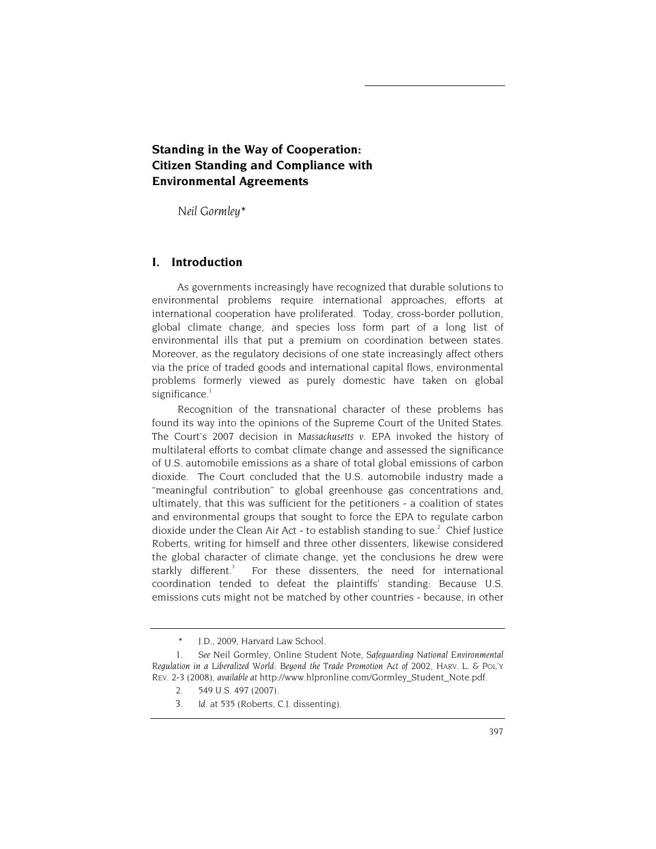## **Standing in the Way of Cooperation: Citizen Standing and Compliance with Environmental Agreements**

*Neil Gormley\** 

## **I. Introduction**

As governments increasingly have recognized that durable solutions to environmental problems require international approaches, efforts at international cooperation have proliferated. Today, cross-border pollution, global climate change, and species loss form part of a long list of environmental ills that put a premium on coordination between states. Moreover, as the regulatory decisions of one state increasingly affect others via the price of traded goods and international capital flows, environmental problems formerly viewed as purely domestic have taken on global significance. $1$ 

Recognition of the transnational character of these problems has found its way into the opinions of the Supreme Court of the United States. The Court's 2007 decision in *Massachusetts v. EPA* invoked the history of multilateral efforts to combat climate change and assessed the significance of U.S. automobile emissions as a share of total global emissions of carbon dioxide. The Court concluded that the U.S. automobile industry made a "meaningful contribution" to global greenhouse gas concentrations and, ultimately, that this was sufficient for the petitioners - a coalition of states and environmental groups that sought to force the EPA to regulate carbon dioxide under the Clean Air Act - to establish standing to sue.<sup>2</sup> Chief Justice Roberts, writing for himself and three other dissenters, likewise considered the global character of climate change, yet the conclusions he drew were starkly different.<sup>3</sup> For these dissenters, the need for international coordination tended to defeat the plaintiffs' standing: Because U.S. emissions cuts might not be matched by other countries - because, in other

<sup>\*</sup> J.D., 2009, Harvard Law School.

<sup>1.</sup> *See* Neil Gormley, Online Student Note, *Safeguarding National Environmental Regulation in a Liberalized World: Beyond the Trade Promotion Act of 2002*, HARV. L. & POL'Y REV. 2-3 (2008), *available at* http://www.hlpronline.com/Gormley\_Student\_Note.pdf.

<sup>2. 549</sup> U.S. 497 (2007).

<sup>3.</sup> *Id*. at 535 (Roberts, C.J. dissenting).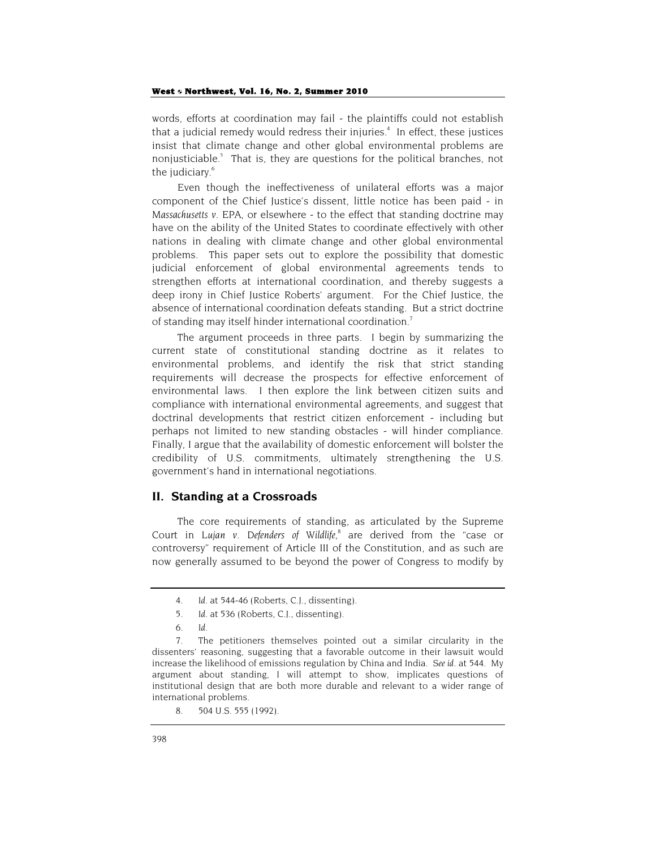words, efforts at coordination may fail - the plaintiffs could not establish that a judicial remedy would redress their injuries.<sup>4</sup> In effect, these justices insist that climate change and other global environmental problems are nonjusticiable.<sup>5</sup> That is, they are questions for the political branches, not the judiciary.<sup>6</sup>

Even though the ineffectiveness of unilateral efforts was a major component of the Chief Justice's dissent, little notice has been paid - in *Massachusetts v. EPA*, or elsewhere - to the effect that standing doctrine may have on the ability of the United States to coordinate effectively with other nations in dealing with climate change and other global environmental problems. This paper sets out to explore the possibility that domestic judicial enforcement of global environmental agreements tends to strengthen efforts at international coordination, and thereby suggests a deep irony in Chief Justice Roberts' argument. For the Chief Justice, the absence of international coordination defeats standing. But a strict doctrine of standing may itself hinder international coordination.7

The argument proceeds in three parts. I begin by summarizing the current state of constitutional standing doctrine as it relates to environmental problems, and identify the risk that strict standing requirements will decrease the prospects for effective enforcement of environmental laws. I then explore the link between citizen suits and compliance with international environmental agreements, and suggest that doctrinal developments that restrict citizen enforcement - including but perhaps not limited to new standing obstacles - will hinder compliance. Finally, I argue that the availability of domestic enforcement will bolster the credibility of U.S. commitments, ultimately strengthening the U.S. government's hand in international negotiations.

## **II. Standing at a Crossroads**

The core requirements of standing, as articulated by the Supreme Court in Lujan v. Defenders of Wildlife,<sup>8</sup> are derived from the "case or controversy" requirement of Article III of the Constitution, and as such are now generally assumed to be beyond the power of Congress to modify by

<sup>4.</sup> *Id*. at 544-46 (Roberts, C.J., dissenting).

<sup>5.</sup> *Id.* at 536 (Roberts, C.J., dissenting).

<sup>6.</sup> *Id*.

<sup>7.</sup> The petitioners themselves pointed out a similar circularity in the dissenters' reasoning, suggesting that a favorable outcome in their lawsuit would increase the likelihood of emissions regulation by China and India. *See id*. at 544. My argument about standing, I will attempt to show, implicates questions of institutional design that are both more durable and relevant to a wider range of international problems.

<sup>8. 504</sup> U.S. 555 (1992).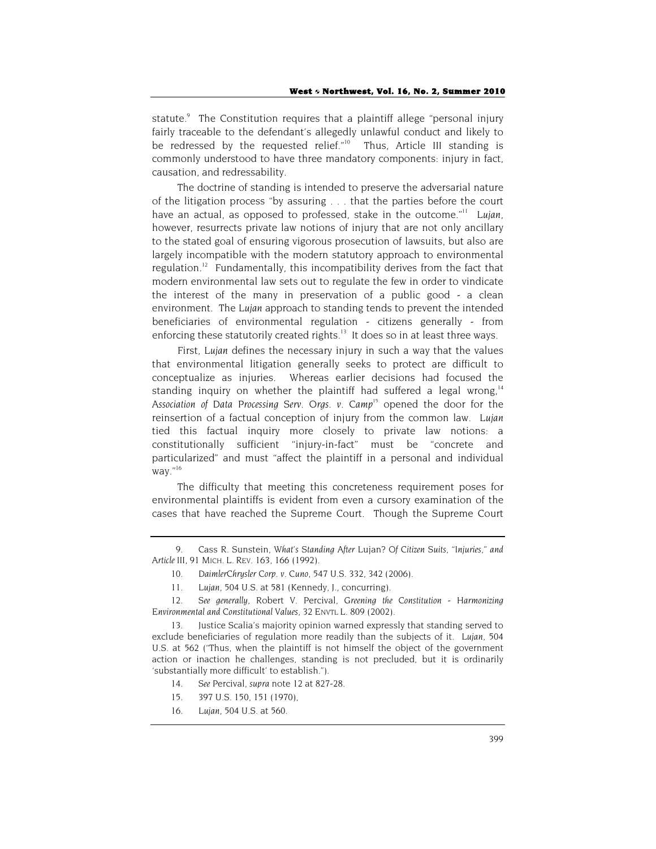statute.<sup>9</sup> The Constitution requires that a plaintiff allege "personal injury fairly traceable to the defendant's allegedly unlawful conduct and likely to be redressed by the requested relief." $10$  Thus, Article III standing is commonly understood to have three mandatory components: injury in fact, causation, and redressability.

The doctrine of standing is intended to preserve the adversarial nature of the litigation process "by assuring . . . that the parties before the court have an actual, as opposed to professed, stake in the outcome."11 *Lujan*, however, resurrects private law notions of injury that are not only ancillary to the stated goal of ensuring vigorous prosecution of lawsuits, but also are largely incompatible with the modern statutory approach to environmental regulation.<sup>12</sup> Fundamentally, this incompatibility derives from the fact that modern environmental law sets out to regulate the few in order to vindicate the interest of the many in preservation of a public good - a clean environment. The *Lujan* approach to standing tends to prevent the intended beneficiaries of environmental regulation - citizens generally - from enforcing these statutorily created rights.<sup>13</sup> It does so in at least three ways.

First, *Lujan* defines the necessary injury in such a way that the values that environmental litigation generally seeks to protect are difficult to conceptualize as injuries. Whereas earlier decisions had focused the standing inquiry on whether the plaintiff had suffered a legal wrong.<sup>14</sup> *Association of Data Processing Serv. Orgs. v. Camp15* opened the door for the reinsertion of a factual conception of injury from the common law. *Lujan* tied this factual inquiry more closely to private law notions: a constitutionally sufficient "injury-in-fact" must be "concrete and particularized" and must "affect the plaintiff in a personal and individual way."16

The difficulty that meeting this concreteness requirement poses for environmental plaintiffs is evident from even a cursory examination of the cases that have reached the Supreme Court. Though the Supreme Court

- 14. *See* Percival, *supra* note 12 at 827-28.
- 15. 397 U.S. 150, 151 (1970),
- 16. *Lujan*, 504 U.S. at 560.

<sup>9.</sup> Cass R. Sunstein, *What's Standing After* Lujan*? Of Citizen Suits, "Injuries," and Article III*, 91 MICH. L. REV. 163, 166 (1992).

<sup>10.</sup> *DaimlerChrysler Corp. v. Cuno*, 547 U.S. 332, 342 (2006).

<sup>11.</sup> *Lujan*, 504 U.S. at 581 (Kennedy, J., concurring).

<sup>12.</sup> *See generally*, Robert V. Percival, *Greening the Constitution - Harmonizing Environmental and Constitutional Values*, 32 ENVTL L. 809 (2002).

<sup>13.</sup> Justice Scalia's majority opinion warned expressly that standing served to exclude beneficiaries of regulation more readily than the subjects of it. *Lujan*, 504 U.S. at 562 ("Thus, when the plaintiff is not himself the object of the government action or inaction he challenges, standing is not precluded, but it is ordinarily 'substantially more difficult' to establish.").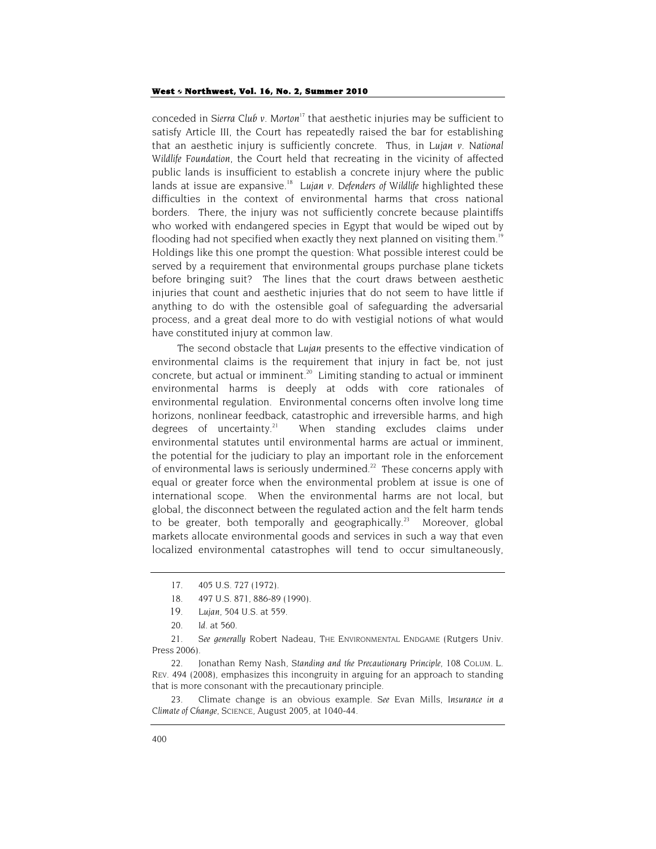conceded in *Sierra Club v. Morton<sup>17</sup>* that aesthetic injuries may be sufficient to satisfy Article III, the Court has repeatedly raised the bar for establishing that an aesthetic injury is sufficiently concrete. Thus, in *Lujan v. National Wildlife Foundation*, the Court held that recreating in the vicinity of affected public lands is insufficient to establish a concrete injury where the public lands at issue are expansive.<sup>18</sup> Lujan v. Defenders of Wildlife highlighted these difficulties in the context of environmental harms that cross national borders. There, the injury was not sufficiently concrete because plaintiffs who worked with endangered species in Egypt that would be wiped out by flooding had not specified when exactly they next planned on visiting them.<sup>19</sup> Holdings like this one prompt the question: What possible interest could be served by a requirement that environmental groups purchase plane tickets before bringing suit? The lines that the court draws between aesthetic injuries that count and aesthetic injuries that do not seem to have little if anything to do with the ostensible goal of safeguarding the adversarial process, and a great deal more to do with vestigial notions of what would have constituted injury at common law.

The second obstacle that *Lujan* presents to the effective vindication of environmental claims is the requirement that injury in fact be, not just concrete, but actual or imminent.<sup>20</sup> Limiting standing to actual or imminent environmental harms is deeply at odds with core rationales of environmental regulation. Environmental concerns often involve long time horizons, nonlinear feedback, catastrophic and irreversible harms, and high degrees of uncertainty.<sup>21</sup> When standing excludes claims under environmental statutes until environmental harms are actual or imminent, the potential for the judiciary to play an important role in the enforcement of environmental laws is seriously undermined.<sup>22</sup> These concerns apply with equal or greater force when the environmental problem at issue is one of international scope. When the environmental harms are not local, but global, the disconnect between the regulated action and the felt harm tends to be greater, both temporally and geographically.<sup>23</sup> Moreover, global markets allocate environmental goods and services in such a way that even localized environmental catastrophes will tend to occur simultaneously,

<sup>17. 405</sup> U.S. 727 (1972).

<sup>18.</sup> 497 U.S. 871, 886-89 (1990).

<sup>19.</sup> *Lujan*, 504 U.S. at 559.

<sup>20.</sup> *Id*. at 560.

<sup>21.</sup> *See generally* Robert Nadeau, THE ENVIRONMENTAL ENDGAME (Rutgers Univ. Press 2006).

<sup>22.</sup> Jonathan Remy Nash, *Standing and the Precautionary Principle*, 108 COLUM. L. REV. 494 (2008), emphasizes this incongruity in arguing for an approach to standing that is more consonant with the precautionary principle.

<sup>23.</sup> Climate change is an obvious example. *See* Evan Mills, *Insurance in a Climate of Change*, SCIENCE, August 2005, at 1040-44.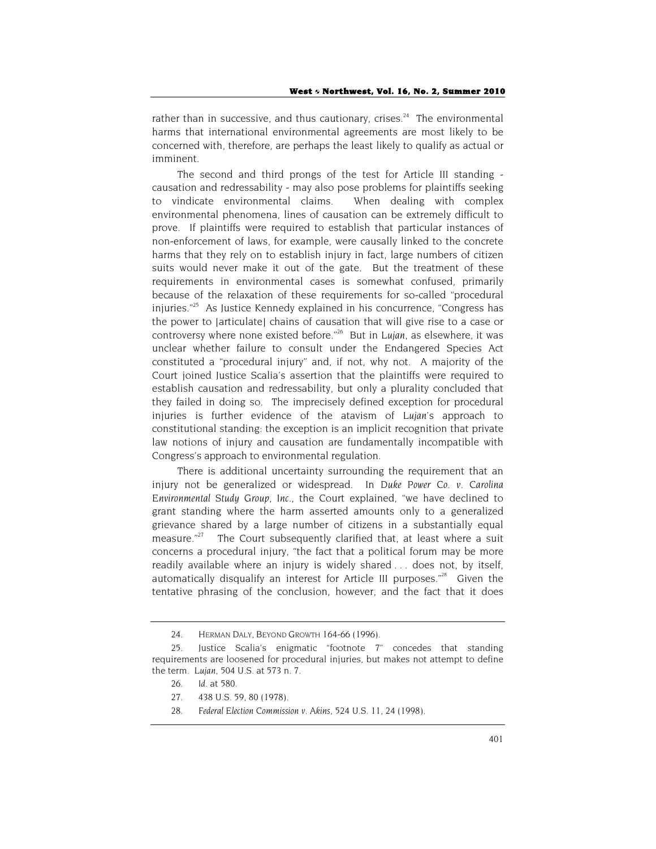rather than in successive, and thus cautionary, crises.<sup>24</sup> The environmental harms that international environmental agreements are most likely to be concerned with, therefore, are perhaps the least likely to qualify as actual or imminent.

The second and third prongs of the test for Article III standing causation and redressability - may also pose problems for plaintiffs seeking to vindicate environmental claims. When dealing with complex environmental phenomena, lines of causation can be extremely difficult to prove. If plaintiffs were required to establish that particular instances of non-enforcement of laws, for example, were causally linked to the concrete harms that they rely on to establish injury in fact, large numbers of citizen suits would never make it out of the gate. But the treatment of these requirements in environmental cases is somewhat confused, primarily because of the relaxation of these requirements for so-called "procedural injuries." $25$  As Justice Kennedy explained in his concurrence. "Congress has the power to [articulate] chains of causation that will give rise to a case or controversy where none existed before."26 But in *Lujan*, as elsewhere, it was unclear whether failure to consult under the Endangered Species Act constituted a "procedural injury" and, if not, why not. A majority of the Court joined Justice Scalia's assertion that the plaintiffs were required to establish causation and redressability, but only a plurality concluded that they failed in doing so. The imprecisely defined exception for procedural injuries is further evidence of the atavism of *Lujan*'s approach to constitutional standing: the exception is an implicit recognition that private law notions of injury and causation are fundamentally incompatible with Congress's approach to environmental regulation.

There is additional uncertainty surrounding the requirement that an injury not be generalized or widespread. In *Duke Power Co. v. Carolina Environmental Study Group, Inc.*, the Court explained, "we have declined to grant standing where the harm asserted amounts only to a generalized grievance shared by a large number of citizens in a substantially equal measure. $n^{27}$  The Court subsequently clarified that, at least where a suit concerns a procedural injury, "the fact that a political forum may be more readily available where an injury is widely shared . . . does not, by itself, automatically disqualify an interest for Article III purposes." $38$  Given the tentative phrasing of the conclusion, however, and the fact that it does

<sup>24.</sup> HERMAN DALY, BEYOND GROWTH 164-66 (1996).

<sup>25.</sup> Justice Scalia's enigmatic "footnote 7" concedes that standing requirements are loosened for procedural injuries, but makes not attempt to define the term. *Lujan*, 504 U.S. at 573 n. 7.

<sup>26.</sup> *Id*. at 580.

<sup>27. 438</sup> U.S. 59, 80 (1978).

<sup>28.</sup> *Federal Election Commission v. Akins*, 524 U.S. 11, 24 (1998).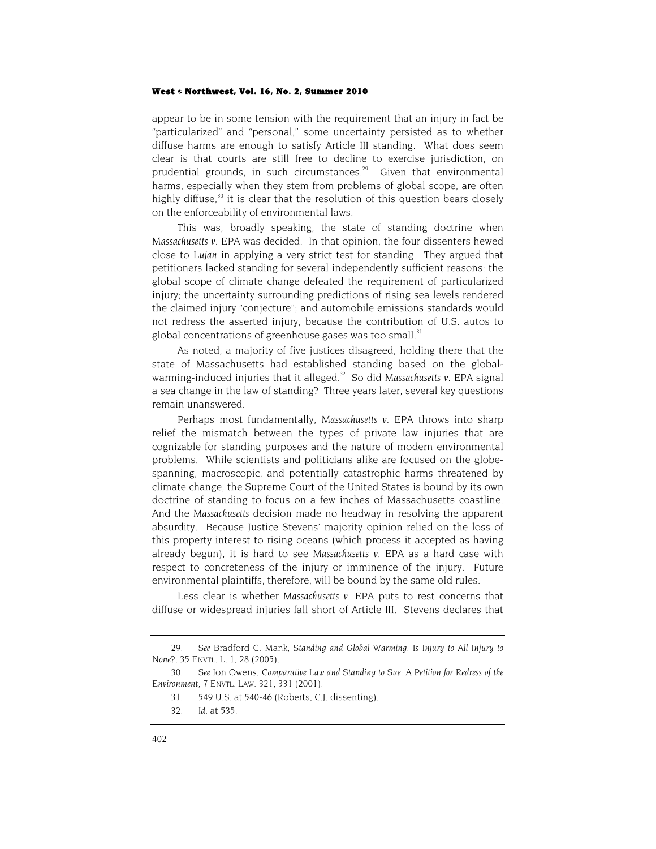appear to be in some tension with the requirement that an injury in fact be "particularized" and "personal," some uncertainty persisted as to whether diffuse harms are enough to satisfy Article III standing. What does seem clear is that courts are still free to decline to exercise jurisdiction, on prudential grounds, in such circumstances.<sup>29</sup> Given that environmental harms, especially when they stem from problems of global scope, are often highly diffuse,<sup>30</sup> it is clear that the resolution of this question bears closely on the enforceability of environmental laws.

This was, broadly speaking, the state of standing doctrine when *Massachusetts v. EPA* was decided. In that opinion, the four dissenters hewed close to *Lujan* in applying a very strict test for standing. They argued that petitioners lacked standing for several independently sufficient reasons: the global scope of climate change defeated the requirement of particularized injury; the uncertainty surrounding predictions of rising sea levels rendered the claimed injury "conjecture"; and automobile emissions standards would not redress the asserted injury, because the contribution of U.S. autos to global concentrations of greenhouse gases was too small.<sup>31</sup>

As noted, a majority of five justices disagreed, holding there that the state of Massachusetts had established standing based on the globalwarming-induced injuries that it alleged.<sup>32</sup> So did Massachusetts v. EPA signal a sea change in the law of standing? Three years later, several key questions remain unanswered.

Perhaps most fundamentally, *Massachusetts v. EPA* throws into sharp relief the mismatch between the types of private law injuries that are cognizable for standing purposes and the nature of modern environmental problems. While scientists and politicians alike are focused on the globespanning, macroscopic, and potentially catastrophic harms threatened by climate change, the Supreme Court of the United States is bound by its own doctrine of standing to focus on a few inches of Massachusetts coastline. And the *Massachusetts* decision made no headway in resolving the apparent absurdity. Because Justice Stevens' majority opinion relied on the loss of this property interest to rising oceans (which process it accepted as having already begun), it is hard to see *Massachusetts v. EPA* as a hard case with respect to concreteness of the injury or imminence of the injury. Future environmental plaintiffs, therefore, will be bound by the same old rules.

Less clear is whether *Massachusetts v. EPA* puts to rest concerns that diffuse or widespread injuries fall short of Article III. Stevens declares that

<sup>29.</sup> *See* Bradford C. Mank, *Standing and Global Warming: Is Injury to All Injury to None?*, 35 ENVTL. L. 1, 28 (2005).

<sup>30.</sup> *See* Jon Owens, *Comparative Law and Standing to Sue: A Petition for Redress of the Environment*, 7 ENVTL. LAW. 321, 331 (2001).

<sup>31. 549</sup> U.S. at 540-46 (Roberts, C.J. dissenting).

<sup>32.</sup> *Id.* at 535.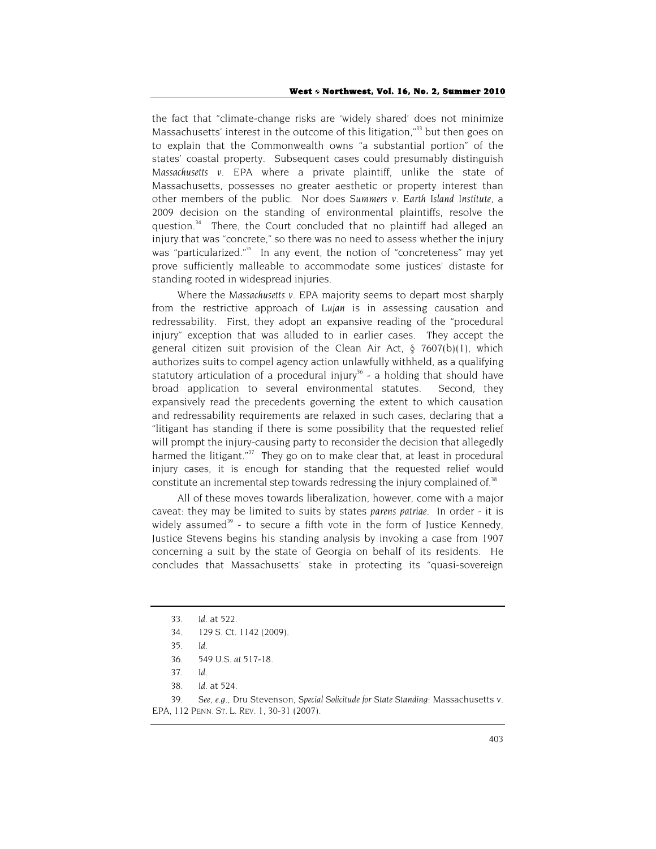the fact that "climate-change risks are 'widely shared' does not minimize Massachusetts' interest in the outcome of this litigation,"<sup>33</sup> but then goes on to explain that the Commonwealth owns "a substantial portion" of the states' coastal property. Subsequent cases could presumably distinguish *Massachusetts v. EPA* where a private plaintiff, unlike the state of Massachusetts, possesses no greater aesthetic or property interest than other members of the public. Nor does *Summers v. Earth Island Institute*, a 2009 decision on the standing of environmental plaintiffs, resolve the question.<sup>34</sup> There, the Court concluded that no plaintiff had alleged an injury that was "concrete," so there was no need to assess whether the injury was "particularized."<sup>35</sup> In any event, the notion of "concreteness" may yet prove sufficiently malleable to accommodate some justices' distaste for standing rooted in widespread injuries.

Where the *Massachusetts v. EPA* majority seems to depart most sharply from the restrictive approach of *Lujan* is in assessing causation and redressability. First, they adopt an expansive reading of the "procedural injury" exception that was alluded to in earlier cases. They accept the general citizen suit provision of the Clean Air Act, § 7607(b)(1), which authorizes suits to compel agency action unlawfully withheld, as a qualifying statutory articulation of a procedural injury<sup>36</sup> - a holding that should have broad application to several environmental statutes. Second, they expansively read the precedents governing the extent to which causation and redressability requirements are relaxed in such cases, declaring that a "litigant has standing if there is some possibility that the requested relief will prompt the injury-causing party to reconsider the decision that allegedly harmed the litigant." $37$  They go on to make clear that, at least in procedural injury cases, it is enough for standing that the requested relief would constitute an incremental step towards redressing the injury complained of.<sup>38</sup>

All of these moves towards liberalization, however, come with a major caveat: they may be limited to suits by states *parens patriae*. In order - it is widely assumed<sup>39</sup> - to secure a fifth vote in the form of Justice Kennedy, Justice Stevens begins his standing analysis by invoking a case from 1907 concerning a suit by the state of Georgia on behalf of its residents. He concludes that Massachusetts' stake in protecting its "quasi-sovereign

<sup>33.</sup> *Id*. at 522.

<sup>34.</sup> 129 S. Ct. 1142 (2009).

<sup>35.</sup> *Id.*

<sup>36.</sup> *549 U.S. at 517-18*.

<sup>37.</sup> *Id*.

<sup>38.</sup> *Id*. at 524.

<sup>39.</sup> *See, e.g.*, Dru Stevenson, *Special Solicitude for State Standing:* Massachusetts v. EPA, 112 PENN. ST. L. REV. 1, 30-31 (2007).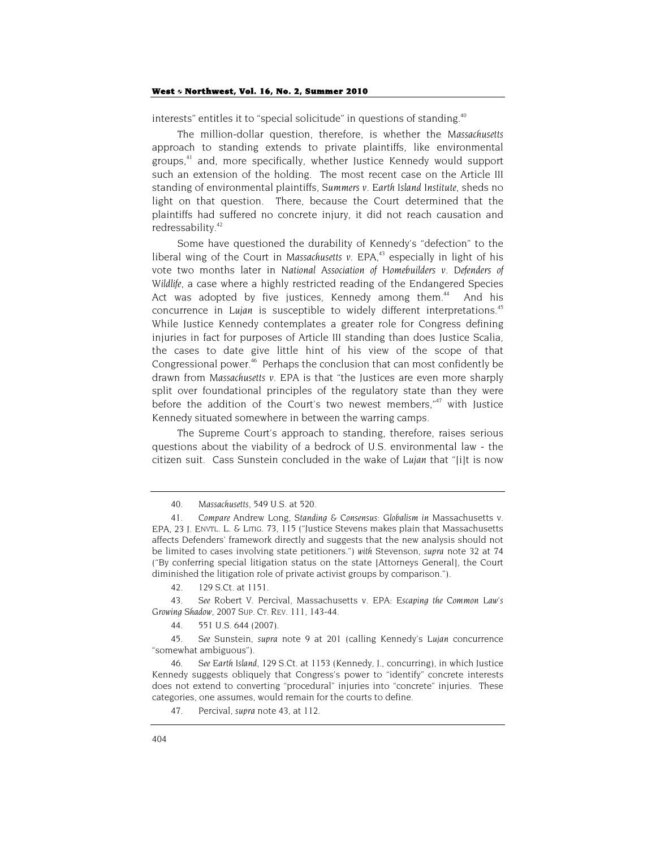interests" entitles it to "special solicitude" in questions of standing.<sup>40</sup>

The million-dollar question, therefore, is whether the *Massachusetts* approach to standing extends to private plaintiffs, like environmental groups,41 and, more specifically, whether Justice Kennedy would support such an extension of the holding. The most recent case on the Article III standing of environmental plaintiffs, *Summers v. Earth Island Institute*, sheds no light on that question. There, because the Court determined that the plaintiffs had suffered no concrete injury, it did not reach causation and redressability.<sup>42</sup>

Some have questioned the durability of Kennedy's "defection" to the liberal wing of the Court in *Massachusetts v. EPA*, 43 especially in light of his vote two months later in *National Association of Homebuilders v. Defenders of Wildlife*, a case where a highly restricted reading of the Endangered Species Act was adopted by five justices. Kennedy among them.<sup>44</sup> And his concurrence in *Lujan* is susceptible to widely different interpretations.<sup>45</sup> While Justice Kennedy contemplates a greater role for Congress defining injuries in fact for purposes of Article III standing than does Justice Scalia, the cases to date give little hint of his view of the scope of that Congressional power.<sup>46</sup> Perhaps the conclusion that can most confidently be drawn from *Massachusetts v. EPA* is that "the Justices are even more sharply split over foundational principles of the regulatory state than they were before the addition of the Court's two newest members," $47$  with Justice Kennedy situated somewhere in between the warring camps.

The Supreme Court's approach to standing, therefore, raises serious questions about the viability of a bedrock of U.S. environmental law - the citizen suit. Cass Sunstein concluded in the wake of *Lujan* that "[i]t is now

<sup>40.</sup> *Massachusetts*, 549 U.S. at 520.

<sup>41.</sup> *Compare* Andrew Long, *Standing & Consensus: Globalism in* Massachusetts v. EPA, 23 J. ENVTL. L. & LITIG. 73, 115 ("Justice Stevens makes plain that Massachusetts affects Defenders' framework directly and suggests that the new analysis should not be limited to cases involving state petitioners.") *with* Stevenson, *supra* note 32 at 74 ("By conferring special litigation status on the state [Attorneys General], the Court diminished the litigation role of private activist groups by comparison.").

<sup>42. 129</sup> S.Ct. at 1151.

<sup>43.</sup> *See* Robert V. Percival, Massachusetts v. EPA*: Escaping the Common Law's Growing Shadow*, 2007 SUP. CT. REV. 111, 143-44.

<sup>44. 551</sup> U.S. 644 (2007).

<sup>45.</sup> *See* Sunstein, *supra* note 9 at 201 (calling Kennedy's *Lujan* concurrence "somewhat ambiguous").

<sup>46.</sup> *See Earth Island*, 129 S.Ct. at 1153 (Kennedy, J., concurring), in which Justice Kennedy suggests obliquely that Congress's power to "identify" concrete interests does not extend to converting "procedural" injuries into "concrete" injuries. These categories, one assumes, would remain for the courts to define.

<sup>47.</sup> Percival, *supra* note 43, at 112.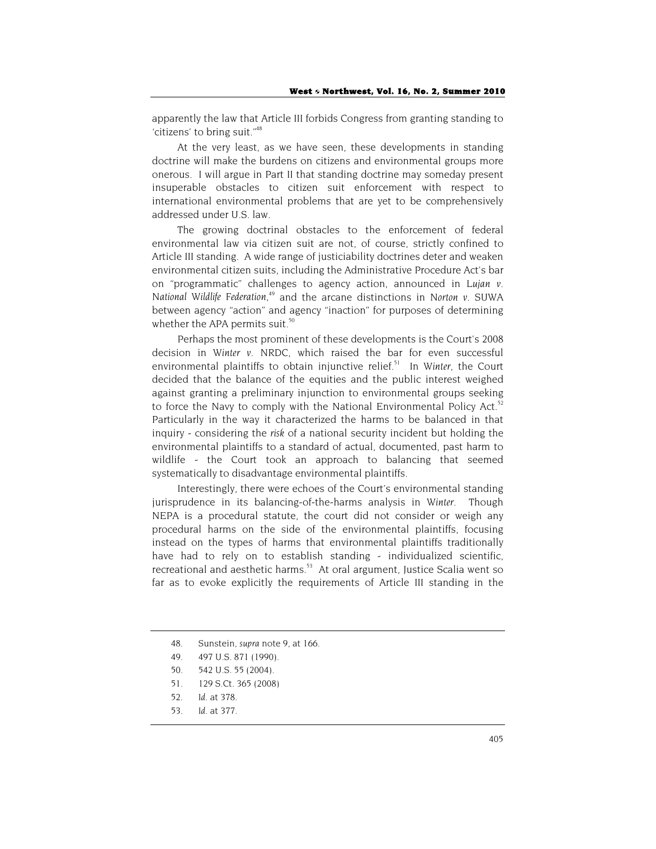apparently the law that Article III forbids Congress from granting standing to 'citizens' to bring suit."48

At the very least, as we have seen, these developments in standing doctrine will make the burdens on citizens and environmental groups more onerous. I will argue in Part II that standing doctrine may someday present insuperable obstacles to citizen suit enforcement with respect to international environmental problems that are yet to be comprehensively addressed under U.S. law.

The growing doctrinal obstacles to the enforcement of federal environmental law via citizen suit are not, of course, strictly confined to Article III standing. A wide range of justiciability doctrines deter and weaken environmental citizen suits, including the Administrative Procedure Act's bar on "programmatic" challenges to agency action, announced in *Lujan v. National Wildlife Federation*, 49 and the arcane distinctions in *Norton v. SUWA*  between agency "action" and agency "inaction" for purposes of determining whether the APA permits suit.<sup>50</sup>

Perhaps the most prominent of these developments is the Court's 2008 decision in *Winter v. NRDC*, which raised the bar for even successful environmental plaintiffs to obtain injunctive relief.<sup>51</sup> In Winter, the Court decided that the balance of the equities and the public interest weighed against granting a preliminary injunction to environmental groups seeking to force the Navy to comply with the National Environmental Policy Act.<sup>52</sup> Particularly in the way it characterized the harms to be balanced in that inquiry - considering the *risk* of a national security incident but holding the environmental plaintiffs to a standard of actual, documented, past harm to wildlife - the Court took an approach to balancing that seemed systematically to disadvantage environmental plaintiffs.

Interestingly, there were echoes of the Court's environmental standing jurisprudence in its balancing-of-the-harms analysis in *Winter*. Though NEPA is a procedural statute, the court did not consider or weigh any procedural harms on the side of the environmental plaintiffs, focusing instead on the types of harms that environmental plaintiffs traditionally have had to rely on to establish standing - individualized scientific, recreational and aesthetic harms.<sup>53</sup> At oral argument, Justice Scalia went so far as to evoke explicitly the requirements of Article III standing in the

<sup>48.</sup> Sunstein, *supra* note 9, at 166.

<sup>49. 497</sup> U.S. 871 (1990).

<sup>50. 542</sup> U.S. 55 (2004).

<sup>51. 129</sup> S.Ct. 365 (2008)

<sup>52.</sup> *Id.* at 378.

<sup>53.</sup> *Id.* at 377.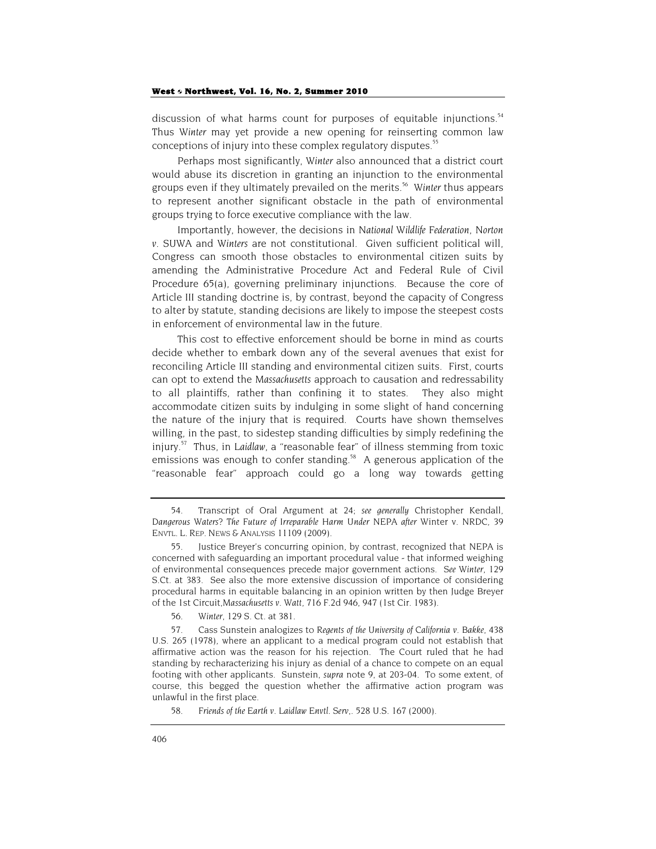discussion of what harms count for purposes of equitable injunctions.<sup>54</sup> Thus *Winter* may yet provide a new opening for reinserting common law conceptions of injury into these complex regulatory disputes.<sup>55</sup>

Perhaps most significantly, *Winter* also announced that a district court would abuse its discretion in granting an injunction to the environmental groups even if they ultimately prevailed on the merits.56 *Winter* thus appears to represent another significant obstacle in the path of environmental groups trying to force executive compliance with the law.

Importantly, however, the decisions in *National Wildlife Federation*, *Norton v. SUWA* and *Winters* are not constitutional. Given sufficient political will, Congress can smooth those obstacles to environmental citizen suits by amending the Administrative Procedure Act and Federal Rule of Civil Procedure 65(a), governing preliminary injunctions. Because the core of Article III standing doctrine is, by contrast, beyond the capacity of Congress to alter by statute, standing decisions are likely to impose the steepest costs in enforcement of environmental law in the future.

This cost to effective enforcement should be borne in mind as courts decide whether to embark down any of the several avenues that exist for reconciling Article III standing and environmental citizen suits. First, courts can opt to extend the *Massachusetts* approach to causation and redressability to all plaintiffs, rather than confining it to states. They also might accommodate citizen suits by indulging in some slight of hand concerning the nature of the injury that is required. Courts have shown themselves willing, in the past, to sidestep standing difficulties by simply redefining the injury.57 Thus, in *Laidlaw*, a "reasonable fear" of illness stemming from toxic emissions was enough to confer standing.<sup>58</sup> A generous application of the "reasonable fear" approach could go a long way towards getting

<sup>54.</sup> Transcript of Oral Argument at 24; *see generally* Christopher Kendall, *Dangerous Waters? The Future of Irreparable Harm Under NEPA after* Winter v. NRDC, 39 ENVTL. L. REP. NEWS & ANALYSIS 11109 (2009).

Justice Breyer's concurring opinion, by contrast, recognized that NEPA is concerned with safeguarding an important procedural value - that informed weighing of environmental consequences precede major government actions. *See Winter*, 129 S.Ct. at 383. See also the more extensive discussion of importance of considering procedural harms in equitable balancing in an opinion written by then Judge Breyer of the 1st Circuit,*Massachusetts v. Watt*, 716 F.2d 946, 947 (1st Cir. 1983).

<sup>56.</sup> *Winter*, 129 S. Ct. at 381.

<sup>57.</sup> Cass Sunstein analogizes to *Regents of the University of California v. Bakke*, 438 U.S. 265 (1978), where an applicant to a medical program could not establish that affirmative action was the reason for his rejection. The Court ruled that he had standing by recharacterizing his injury as denial of a chance to compete on an equal footing with other applicants. Sunstein, *supra* note 9, at 203-04. To some extent, of course, this begged the question whether the affirmative action program was unlawful in the first place.

<sup>58.</sup> *Friends of the Earth v. Laidlaw Envtl. Serv,.* 528 U.S. 167 (2000).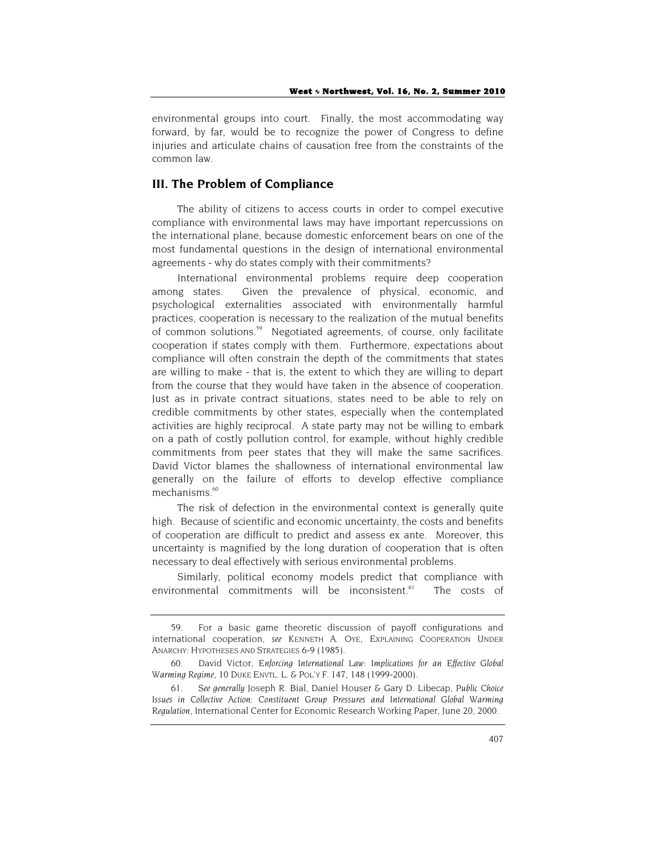environmental groups into court. Finally, the most accommodating way forward, by far, would be to recognize the power of Congress to define injuries and articulate chains of causation free from the constraints of the common law.

## **III. The Problem of Compliance**

The ability of citizens to access courts in order to compel executive compliance with environmental laws may have important repercussions on the international plane, because domestic enforcement bears on one of the most fundamental questions in the design of international environmental agreements - why do states comply with their commitments?

International environmental problems require deep cooperation among states. Given the prevalence of physical, economic, and psychological externalities associated with environmentally harmful practices, cooperation is necessary to the realization of the mutual benefits of common solutions.<sup>59</sup> Negotiated agreements, of course, only facilitate cooperation if states comply with them. Furthermore, expectations about compliance will often constrain the depth of the commitments that states are willing to make - that is, the extent to which they are willing to depart from the course that they would have taken in the absence of cooperation. Just as in private contract situations, states need to be able to rely on credible commitments by other states, especially when the contemplated activities are highly reciprocal. A state party may not be willing to embark on a path of costly pollution control, for example, without highly credible commitments from peer states that they will make the same sacrifices. David Victor blames the shallowness of international environmental law generally on the failure of efforts to develop effective compliance mechanisms.<sup>60</sup>

The risk of defection in the environmental context is generally quite high. Because of scientific and economic uncertainty, the costs and benefits of cooperation are difficult to predict and assess ex ante. Moreover, this uncertainty is magnified by the long duration of cooperation that is often necessary to deal effectively with serious environmental problems.

Similarly, political economy models predict that compliance with environmental commitments will be inconsistent.<sup>61</sup> The costs of

<sup>59.</sup> For a basic game theoretic discussion of payoff configurations and international cooperation, *see* KENNETH A. OYE, EXPLAINING COOPERATION UNDER ANARCHY: HYPOTHESES AND STRATEGIES 6-9 (1985).

<sup>60.</sup> David Victor, *Enforcing International Law: Implications for an Effective Global Warming Regime*, 10 DUKE ENVTL. L. & POL'Y F. 147, 148 (1999-2000).

<sup>61.</sup> *See generally* Joseph R. Bial, Daniel Houser & Gary D. Libecap, *Public Choice Issues in Collective Action: Constituent Group Pressures and International Global Warming Regulation*, International Center for Economic Research Working Paper, June 20, 2000.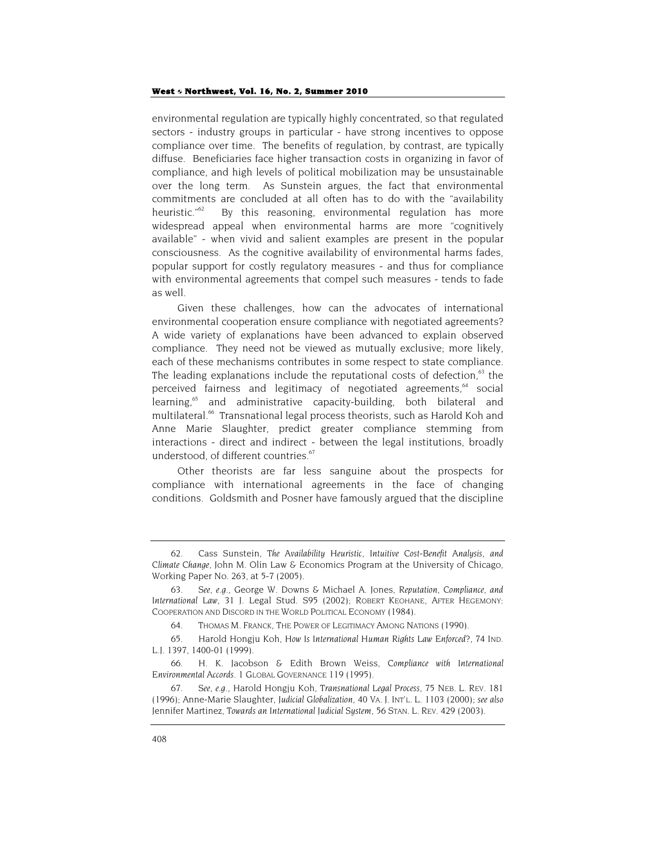environmental regulation are typically highly concentrated, so that regulated sectors - industry groups in particular - have strong incentives to oppose compliance over time. The benefits of regulation, by contrast, are typically diffuse. Beneficiaries face higher transaction costs in organizing in favor of compliance, and high levels of political mobilization may be unsustainable over the long term. As Sunstein argues, the fact that environmental commitments are concluded at all often has to do with the "availability heuristic."<sup>62</sup> By this reasoning, environmental regulation has more widespread appeal when environmental harms are more "cognitively available" - when vivid and salient examples are present in the popular consciousness. As the cognitive availability of environmental harms fades, popular support for costly regulatory measures - and thus for compliance with environmental agreements that compel such measures - tends to fade as well.

Given these challenges, how can the advocates of international environmental cooperation ensure compliance with negotiated agreements? A wide variety of explanations have been advanced to explain observed compliance. They need not be viewed as mutually exclusive; more likely, each of these mechanisms contributes in some respect to state compliance. The leading explanations include the reputational costs of defection, $63$  the perceived fairness and legitimacy of negotiated agreements,<sup>64</sup> social learning,<sup>65</sup> and administrative capacity-building, both bilateral and multilateral.<sup>66</sup> Transnational legal process theorists, such as Harold Koh and Anne Marie Slaughter, predict greater compliance stemming from interactions - direct and indirect - between the legal institutions, broadly understood, of different countries.<sup>67</sup>

Other theorists are far less sanguine about the prospects for compliance with international agreements in the face of changing conditions. Goldsmith and Posner have famously argued that the discipline

<sup>62.</sup> Cass Sunstein, *The Availability Heuristic, Intuitive Cost-Benefit Analysis, and Climate Change*, John M. Olin Law & Economics Program at the University of Chicago, Working Paper No. 263, at 5-7 (2005).

<sup>63.</sup> *See*, *e.g.*, George W. Downs & Michael A. Jones, *Reputation, Compliance, and International Law*, 31 J. Legal Stud. S95 (2002); ROBERT KEOHANE, AFTER HEGEMONY: COOPERATION AND DISCORD IN THE WORLD POLITICAL ECONOMY (1984).

<sup>64.</sup> THOMAS M. FRANCK, THE POWER OF LEGITIMACY AMONG NATIONS (1990).

<sup>65.</sup> Harold Hongju Koh, *How Is International Human Rights Law Enforced?*, 74 IND. L.J. 1397, 1400-01 (1999).

<sup>66.</sup> H. K. Jacobson & Edith Brown Weiss, *Compliance with International Environmental Accords*. 1 GLOBAL GOVERNANCE 119 (1995).

<sup>67.</sup> *See*, *e.g.*, Harold Hongju Koh, *Transnational Legal Process*, 75 NEB. L. REV. 181 (1996); Anne-Marie Slaughter, *Judicial Globalization*, 40 VA. J. INT'L. L. 1103 (2000); *see also* Jennifer Martinez, *Towards an International Judicial System*, 56 STAN. L. REV. 429 (2003).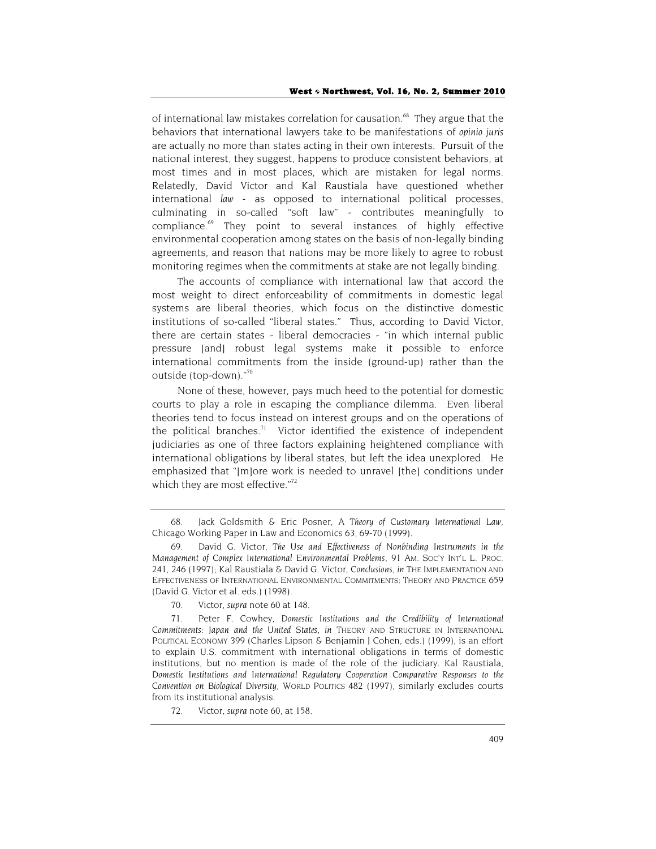of international law mistakes correlation for causation.<sup>68</sup> They argue that the behaviors that international lawyers take to be manifestations of *opinio juris* are actually no more than states acting in their own interests. Pursuit of the national interest, they suggest, happens to produce consistent behaviors, at most times and in most places, which are mistaken for legal norms. Relatedly, David Victor and Kal Raustiala have questioned whether international *law* - as opposed to international political processes, culminating in so-called "soft law" - contributes meaningfully to compliance.<sup>69</sup> They point to several instances of highly effective environmental cooperation among states on the basis of non-legally binding agreements, and reason that nations may be more likely to agree to robust monitoring regimes when the commitments at stake are not legally binding.

The accounts of compliance with international law that accord the most weight to direct enforceability of commitments in domestic legal systems are liberal theories, which focus on the distinctive domestic institutions of so-called "liberal states." Thus, according to David Victor, there are certain states - liberal democracies - "in which internal public pressure [and] robust legal systems make it possible to enforce international commitments from the inside (ground-up) rather than the outside (top-down)."70

None of these, however, pays much heed to the potential for domestic courts to play a role in escaping the compliance dilemma. Even liberal theories tend to focus instead on interest groups and on the operations of the political branches.<sup>71</sup> Victor identified the existence of independent judiciaries as one of three factors explaining heightened compliance with international obligations by liberal states, but left the idea unexplored. He emphasized that "[m]ore work is needed to unravel [the] conditions under which they are most effective."<sup>72</sup>

<sup>68.</sup> Jack Goldsmith & Eric Posner, *A Theory of Customary International Law*, Chicago Working Paper in Law and Economics 63, 69-70 (1999).

<sup>69.</sup> David G. Victor, *The Use and Effectiveness of Nonbinding Instruments in the Management of Complex International Environmental Problems*, 91 AM. SOC'Y INT'L L. PROC. 241, 246 (1997); Kal Raustiala & David G. Victor, *Conclusions*, *in* THE IMPLEMENTATION AND EFFECTIVENESS OF INTERNATIONAL ENVIRONMENTAL COMMITMENTS: THEORY AND PRACTICE 659 (David G. Victor et al. eds.) (1998).

<sup>70.</sup> Victor, *supra* note 60 at 148.

<sup>71.</sup> Peter F. Cowhey, *Domestic Institutions and the Credibility of International Commitments: Japan and the United States*, *in* THEORY AND STRUCTURE IN INTERNATIONAL POLITICAL ECONOMY 399 (Charles Lipson & Benjamin J Cohen, eds.) (1999), is an effort to explain U.S. commitment with international obligations in terms of domestic institutions, but no mention is made of the role of the judiciary. Kal Raustiala, *Domestic Institutions and International Regulatory Cooperation Comparative Responses to the Convention on Biological Diversity*, WORLD POLITICS 482 (1997), similarly excludes courts from its institutional analysis.

<sup>72.</sup> Victor, *supra* note 60, at 158.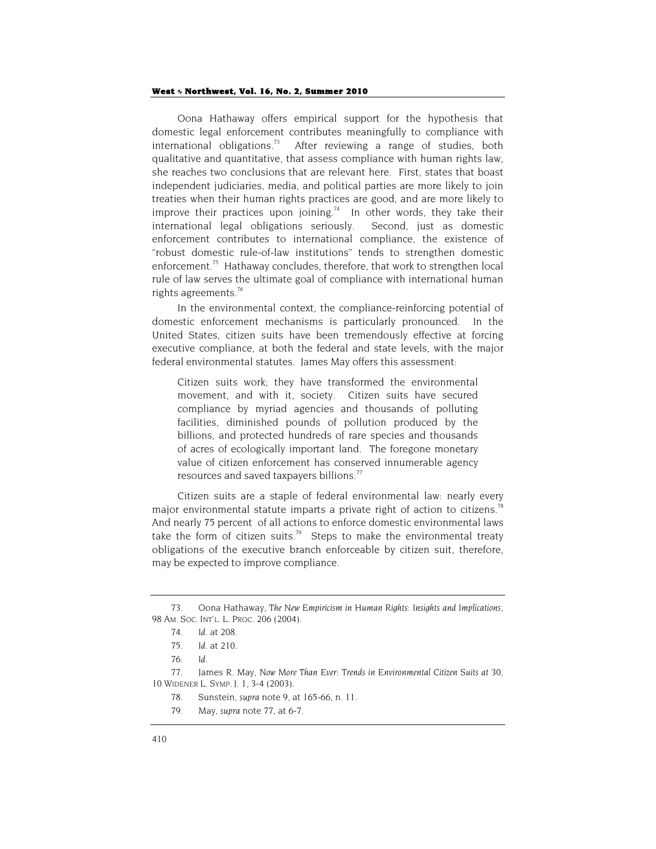Oona Hathaway offers empirical support for the hypothesis that domestic legal enforcement contributes meaningfully to compliance with international obligations.<sup>73</sup> After reviewing a range of studies, both qualitative and quantitative, that assess compliance with human rights law, she reaches two conclusions that are relevant here. First, states that boast independent judiciaries, media, and political parties are more likely to join treaties when their human rights practices are good, and are more likely to improve their practices upon joining.<sup>74</sup> In other words, they take their international legal obligations seriously. Second, just as domestic enforcement contributes to international compliance, the existence of "robust domestic rule-of-law institutions" tends to strengthen domestic enforcement.<sup>75</sup> Hathaway concludes, therefore, that work to strengthen local rule of law serves the ultimate goal of compliance with international human rights agreements.76

In the environmental context, the compliance-reinforcing potential of domestic enforcement mechanisms is particularly pronounced. In the United States, citizen suits have been tremendously effective at forcing executive compliance, at both the federal and state levels, with the major federal environmental statutes. James May offers this assessment:

Citizen suits work; they have transformed the environmental movement, and with it, society. Citizen suits have secured compliance by myriad agencies and thousands of polluting facilities, diminished pounds of pollution produced by the billions, and protected hundreds of rare species and thousands of acres of ecologically important land. The foregone monetary value of citizen enforcement has conserved innumerable agency resources and saved taxpayers billions.<sup>77</sup>

Citizen suits are a staple of federal environmental law: nearly every major environmental statute imparts a private right of action to citizens.<sup>78</sup> And nearly 75 percent of all actions to enforce domestic environmental laws take the form of citizen suits.<sup>79</sup> Steps to make the environmental treaty obligations of the executive branch enforceable by citizen suit, therefore, may be expected to improve compliance.

<sup>73.</sup> Oona Hathaway, *The New Empiricism in Human Rights: Insights and Implications*, 98 AM. SOC. INT'L. L. PROC. 206 (2004).

<sup>74.</sup> *Id*. at 208.

<sup>75.</sup> *Id*. at 210.

<sup>76.</sup> *Id*.

<sup>77.</sup> James R. May, *Now More Than Ever: Trends in Environmental Citizen Suits at 30*, 10 WIDENER L. SYMP. J. 1, 3-4 (2003).

<sup>78.</sup> Sunstein, *supra* note 9, at 165-66, n. 11.

<sup>79.</sup> May, *supra* note 77, at 6-7.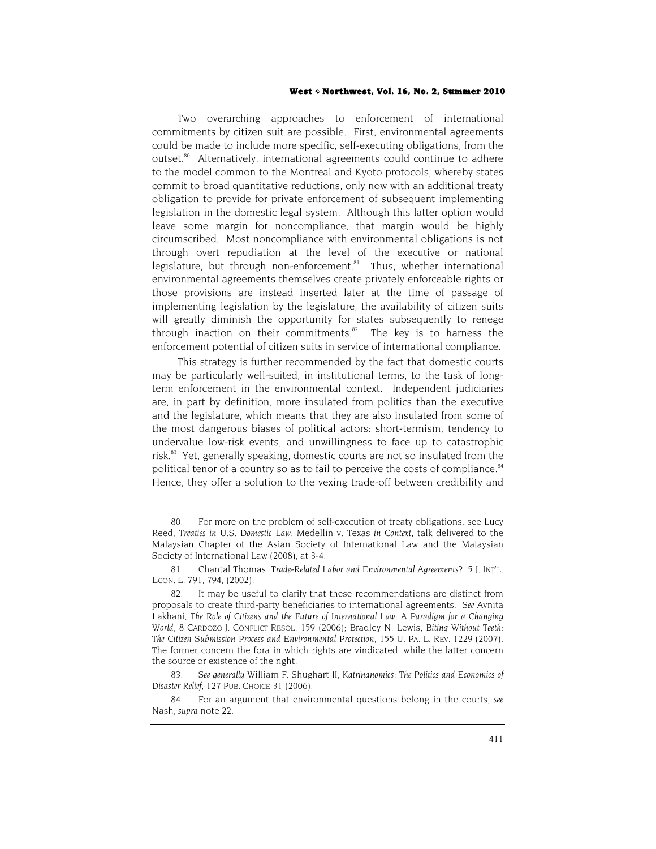Two overarching approaches to enforcement of international commitments by citizen suit are possible. First, environmental agreements could be made to include more specific, self-executing obligations, from the outset.<sup>80</sup> Alternatively, international agreements could continue to adhere to the model common to the Montreal and Kyoto protocols, whereby states commit to broad quantitative reductions, only now with an additional treaty obligation to provide for private enforcement of subsequent implementing legislation in the domestic legal system. Although this latter option would leave some margin for noncompliance, that margin would be highly circumscribed. Most noncompliance with environmental obligations is not through overt repudiation at the level of the executive or national legislature, but through non-enforcement.<sup>81</sup> Thus, whether international environmental agreements themselves create privately enforceable rights or those provisions are instead inserted later at the time of passage of implementing legislation by the legislature, the availability of citizen suits will greatly diminish the opportunity for states subsequently to renege through inaction on their commitments. $82$  The key is to harness the enforcement potential of citizen suits in service of international compliance.

This strategy is further recommended by the fact that domestic courts may be particularly well-suited, in institutional terms, to the task of longterm enforcement in the environmental context. Independent judiciaries are, in part by definition, more insulated from politics than the executive and the legislature, which means that they are also insulated from some of the most dangerous biases of political actors: short-termism, tendency to undervalue low-risk events, and unwillingness to face up to catastrophic risk.<sup>83</sup> Yet, generally speaking, domestic courts are not so insulated from the political tenor of a country so as to fail to perceive the costs of compliance.<sup>84</sup> Hence, they offer a solution to the vexing trade-off between credibility and

<sup>80.</sup> For more on the problem of self-execution of treaty obligations, see Lucy Reed, *Treaties in U.S. Domestic Law:* Medellin v. Texas *in Context*, talk delivered to the Malaysian Chapter of the Asian Society of International Law and the Malaysian Society of International Law (2008), at 3-4.

<sup>81.</sup> Chantal Thomas, *Trade-Related Labor and Environmental Agreements?*, 5 J. INT'L. ECON. L. 791, 794, (2002).

<sup>82.</sup> It may be useful to clarify that these recommendations are distinct from proposals to create third-party beneficiaries to international agreements. *See* Avnita Lakhani, *The Role of Citizens and the Future of International Law: A Paradigm for a Changing World*, 8 CARDOZO J. CONFLICT RESOL. 159 (2006); Bradley N. Lewis, *Biting Without Teeth: The Citizen Submission Process and Environmental Protection*, 155 U. PA. L. REV. 1229 (2007). The former concern the fora in which rights are vindicated, while the latter concern the source or existence of the right.

<sup>83.</sup> *See generally* William F. Shughart II, *Katrinanomics: The Politics and Economics of Disaster Relief*, 127 PUB. CHOICE 31 (2006).

<sup>84.</sup> For an argument that environmental questions belong in the courts, *see* Nash, *supra* note 22.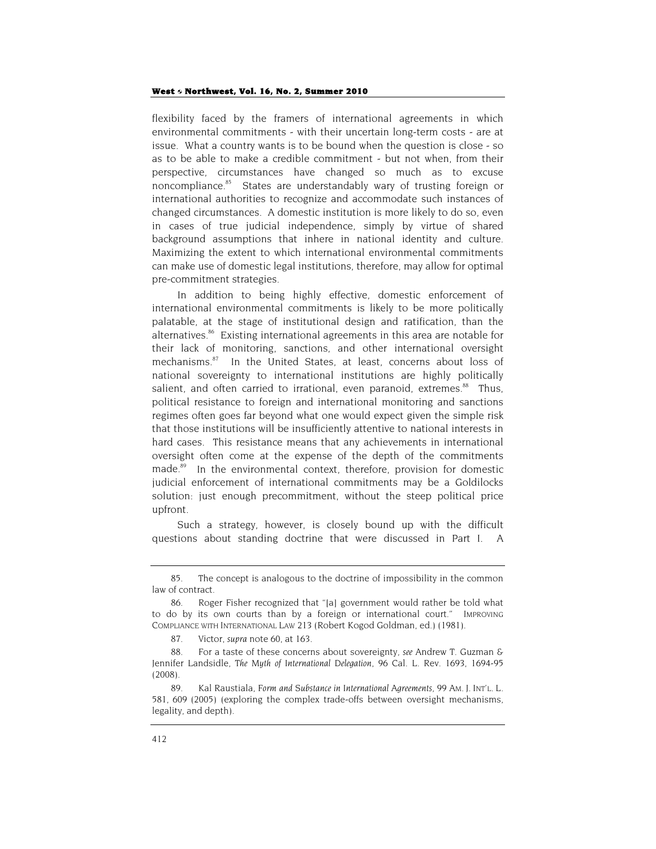flexibility faced by the framers of international agreements in which environmental commitments - with their uncertain long-term costs - are at issue. What a country wants is to be bound when the question is close - so as to be able to make a credible commitment - but not when, from their perspective, circumstances have changed so much as to excuse noncompliance.<sup>85</sup> States are understandably wary of trusting foreign or international authorities to recognize and accommodate such instances of changed circumstances. A domestic institution is more likely to do so, even in cases of true judicial independence, simply by virtue of shared background assumptions that inhere in national identity and culture. Maximizing the extent to which international environmental commitments can make use of domestic legal institutions, therefore, may allow for optimal pre-commitment strategies.

In addition to being highly effective, domestic enforcement of international environmental commitments is likely to be more politically palatable, at the stage of institutional design and ratification, than the alternatives.<sup>86</sup> Existing international agreements in this area are notable for their lack of monitoring, sanctions, and other international oversight mechanisms.<sup>87</sup> In the United States, at least, concerns about loss of national sovereignty to international institutions are highly politically salient, and often carried to irrational, even paranoid, extremes.<sup>88</sup> Thus, political resistance to foreign and international monitoring and sanctions regimes often goes far beyond what one would expect given the simple risk that those institutions will be insufficiently attentive to national interests in hard cases. This resistance means that any achievements in international oversight often come at the expense of the depth of the commitments made.<sup>89</sup> In the environmental context, therefore, provision for domestic judicial enforcement of international commitments may be a Goldilocks solution: just enough precommitment, without the steep political price upfront.

Such a strategy, however, is closely bound up with the difficult questions about standing doctrine that were discussed in Part I. A

<sup>85.</sup> The concept is analogous to the doctrine of impossibility in the common law of contract.

<sup>86.</sup> Roger Fisher recognized that "[a] government would rather be told what to do by its own courts than by a foreign or international court." IMPROVING COMPLIANCE WITH INTERNATIONAL LAW 213 (Robert Kogod Goldman, ed.) (1981).

<sup>87.</sup> Victor, *supra* note 60, at 163.

<sup>88.</sup> For a taste of these concerns about sovereignty, *see* Andrew T. Guzman & Jennifer Landsidle, *The Myth of International Delegation*, 96 Cal. L. Rev. 1693, 1694-95 (2008).

<sup>89.</sup> Kal Raustiala, *Form and Substance in International Agreements*, 99 AM. J. INT'L. L. 581, 609 (2005) (exploring the complex trade-offs between oversight mechanisms, legality, and depth).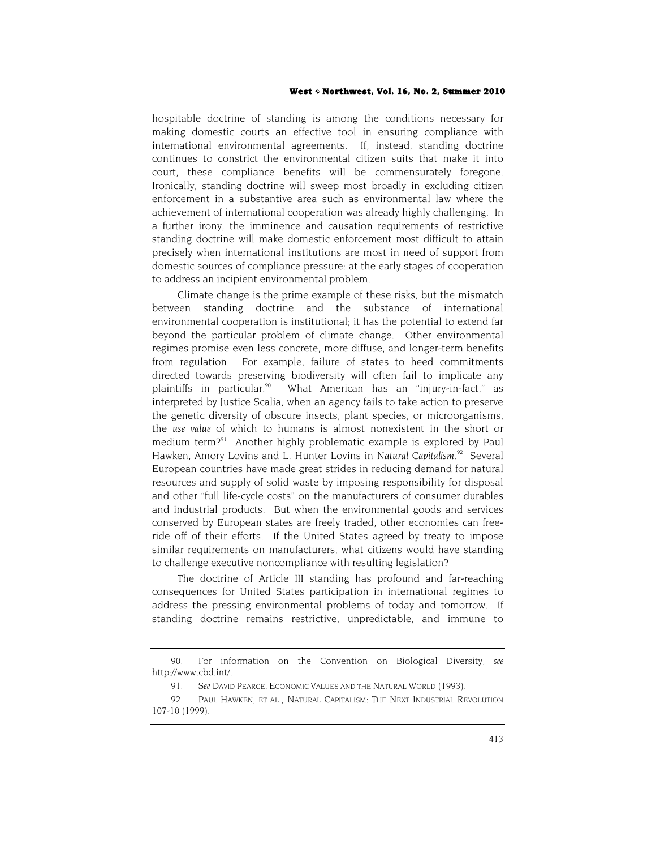hospitable doctrine of standing is among the conditions necessary for making domestic courts an effective tool in ensuring compliance with international environmental agreements. If, instead, standing doctrine continues to constrict the environmental citizen suits that make it into court, these compliance benefits will be commensurately foregone. Ironically, standing doctrine will sweep most broadly in excluding citizen enforcement in a substantive area such as environmental law where the achievement of international cooperation was already highly challenging. In a further irony, the imminence and causation requirements of restrictive standing doctrine will make domestic enforcement most difficult to attain precisely when international institutions are most in need of support from domestic sources of compliance pressure: at the early stages of cooperation to address an incipient environmental problem.

Climate change is the prime example of these risks, but the mismatch between standing doctrine and the substance of international environmental cooperation is institutional; it has the potential to extend far beyond the particular problem of climate change. Other environmental regimes promise even less concrete, more diffuse, and longer-term benefits from regulation. For example, failure of states to heed commitments directed towards preserving biodiversity will often fail to implicate any plaintiffs in particular.<sup>90</sup> What American has an "injury-in-fact," as interpreted by Justice Scalia, when an agency fails to take action to preserve the genetic diversity of obscure insects, plant species, or microorganisms, the *use value* of which to humans is almost nonexistent in the short or medium term?<sup>91</sup> Another highly problematic example is explored by Paul Hawken, Amory Lovins and L. Hunter Lovins in Natural Capitalism.<sup>92</sup> Several European countries have made great strides in reducing demand for natural resources and supply of solid waste by imposing responsibility for disposal and other "full life-cycle costs" on the manufacturers of consumer durables and industrial products. But when the environmental goods and services conserved by European states are freely traded, other economies can freeride off of their efforts. If the United States agreed by treaty to impose similar requirements on manufacturers, what citizens would have standing to challenge executive noncompliance with resulting legislation?

The doctrine of Article III standing has profound and far-reaching consequences for United States participation in international regimes to address the pressing environmental problems of today and tomorrow. If standing doctrine remains restrictive, unpredictable, and immune to

<sup>90.</sup> For information on the Convention on Biological Diversity, *see* http://www.cbd.int/.

<sup>91.</sup> *See* DAVID PEARCE, ECONOMIC VALUES AND THE NATURAL WORLD (1993).

<sup>92.</sup> PAUL HAWKEN, ET AL., NATURAL CAPITALISM: THE NEXT INDUSTRIAL REVOLUTION 107-10 (1999).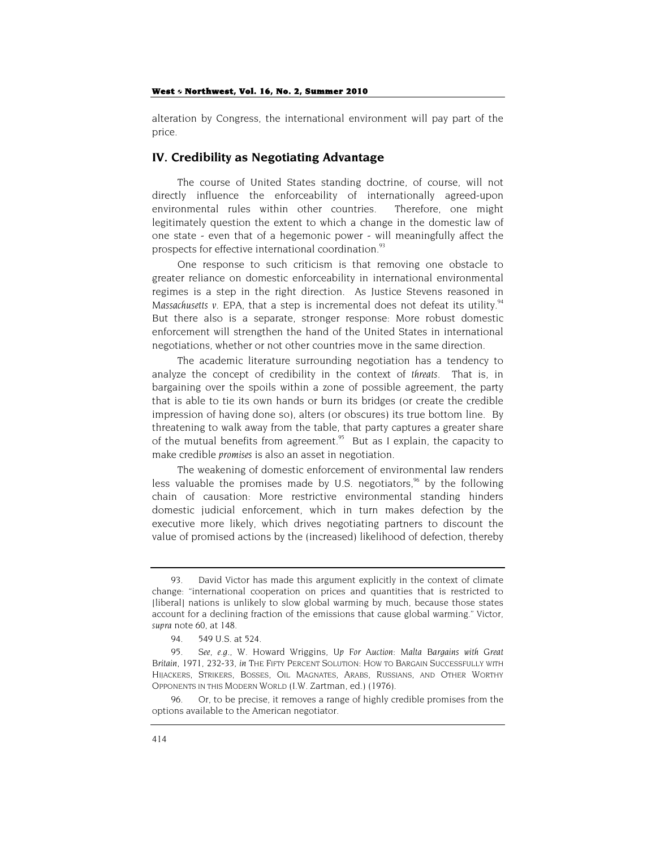alteration by Congress, the international environment will pay part of the price.

### **IV. Credibility as Negotiating Advantage**

The course of United States standing doctrine, of course, will not directly influence the enforceability of internationally agreed-upon environmental rules within other countries. Therefore, one might legitimately question the extent to which a change in the domestic law of one state - even that of a hegemonic power - will meaningfully affect the prospects for effective international coordination.<sup>93</sup>

One response to such criticism is that removing one obstacle to greater reliance on domestic enforceability in international environmental regimes is a step in the right direction. As Justice Stevens reasoned in *Massachusetts v. EPA*, that a step is incremental does not defeat its utility.<sup>94</sup> But there also is a separate, stronger response: More robust domestic enforcement will strengthen the hand of the United States in international negotiations, whether or not other countries move in the same direction.

The academic literature surrounding negotiation has a tendency to analyze the concept of credibility in the context of *threats*. That is, in bargaining over the spoils within a zone of possible agreement, the party that is able to tie its own hands or burn its bridges (or create the credible impression of having done so), alters (or obscures) its true bottom line. By threatening to walk away from the table, that party captures a greater share of the mutual benefits from agreement.<sup>95</sup> But as I explain, the capacity to make credible *promises* is also an asset in negotiation.

The weakening of domestic enforcement of environmental law renders less valuable the promises made by U.S. negotiators, $96$  by the following chain of causation: More restrictive environmental standing hinders domestic judicial enforcement, which in turn makes defection by the executive more likely, which drives negotiating partners to discount the value of promised actions by the (increased) likelihood of defection, thereby

96. Or, to be precise, it removes a range of highly credible promises from the options available to the American negotiator.

<sup>93.</sup> David Victor has made this argument explicitly in the context of climate change: "international cooperation on prices and quantities that is restricted to [liberal] nations is unlikely to slow global warming by much, because those states account for a declining fraction of the emissions that cause global warming." Victor, *supra* note 60, at 148.

<sup>94. 549</sup> U.S. at 524.

<sup>95.</sup> *See*, *e.g.*, W. Howard Wriggins, *Up For Auction: Malta Bargains with Great Britain, 1971*, 232-33, *in* THE FIFTY PERCENT SOLUTION: HOW TO BARGAIN SUCCESSFULLY WITH HIJACKERS, STRIKERS, BOSSES, OIL MAGNATES, ARABS, RUSSIANS, AND OTHER WORTHY OPPONENTS IN THIS MODERN WORLD (I.W. Zartman, ed.) (1976).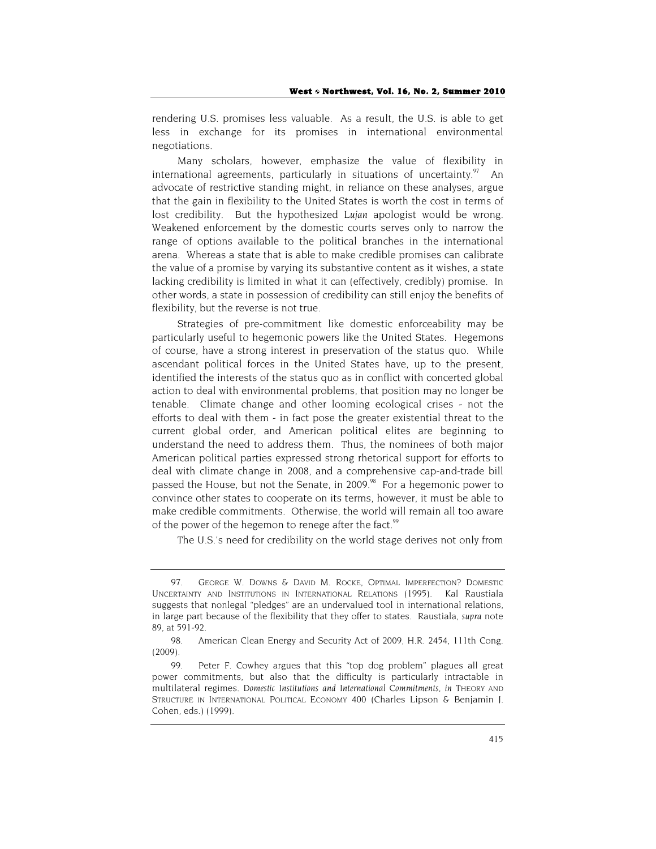rendering U.S. promises less valuable. As a result, the U.S. is able to get less in exchange for its promises in international environmental negotiations.

Many scholars, however, emphasize the value of flexibility in international agreements, particularly in situations of uncertainty. $97$  An advocate of restrictive standing might, in reliance on these analyses, argue that the gain in flexibility to the United States is worth the cost in terms of lost credibility. But the hypothesized *Lujan* apologist would be wrong. Weakened enforcement by the domestic courts serves only to narrow the range of options available to the political branches in the international arena. Whereas a state that is able to make credible promises can calibrate the value of a promise by varying its substantive content as it wishes, a state lacking credibility is limited in what it can (effectively, credibly) promise. In other words, a state in possession of credibility can still enjoy the benefits of flexibility, but the reverse is not true.

Strategies of pre-commitment like domestic enforceability may be particularly useful to hegemonic powers like the United States. Hegemons of course, have a strong interest in preservation of the status quo. While ascendant political forces in the United States have, up to the present, identified the interests of the status quo as in conflict with concerted global action to deal with environmental problems, that position may no longer be tenable. Climate change and other looming ecological crises - not the efforts to deal with them - in fact pose the greater existential threat to the current global order, and American political elites are beginning to understand the need to address them. Thus, the nominees of both major American political parties expressed strong rhetorical support for efforts to deal with climate change in 2008, and a comprehensive cap-and-trade bill passed the House, but not the Senate, in 2009.<sup>98</sup> For a hegemonic power to convince other states to cooperate on its terms, however, it must be able to make credible commitments. Otherwise, the world will remain all too aware of the power of the hegemon to renege after the fact.<sup>99</sup>

The U.S.'s need for credibility on the world stage derives not only from

<sup>97.</sup> GEORGE W. DOWNS & DAVID M. ROCKE, OPTIMAL IMPERFECTION? DOMESTIC UNCERTAINTY AND INSTITUTIONS IN INTERNATIONAL RELATIONS (1995). Kal Raustiala suggests that nonlegal "pledges" are an undervalued tool in international relations, in large part because of the flexibility that they offer to states. Raustiala, *supra* note 89, at 591-92.

<sup>98.</sup> American Clean Energy and Security Act of 2009, H.R. 2454, 111th Cong. (2009).

<sup>99.</sup> Peter F. Cowhey argues that this "top dog problem" plagues all great power commitments, but also that the difficulty is particularly intractable in multilateral regimes. *Domestic Institutions and International Commitments*, *in* THEORY AND STRUCTURE IN INTERNATIONAL POLITICAL ECONOMY 400 (Charles Lipson & Benjamin J. Cohen, eds.) (1999).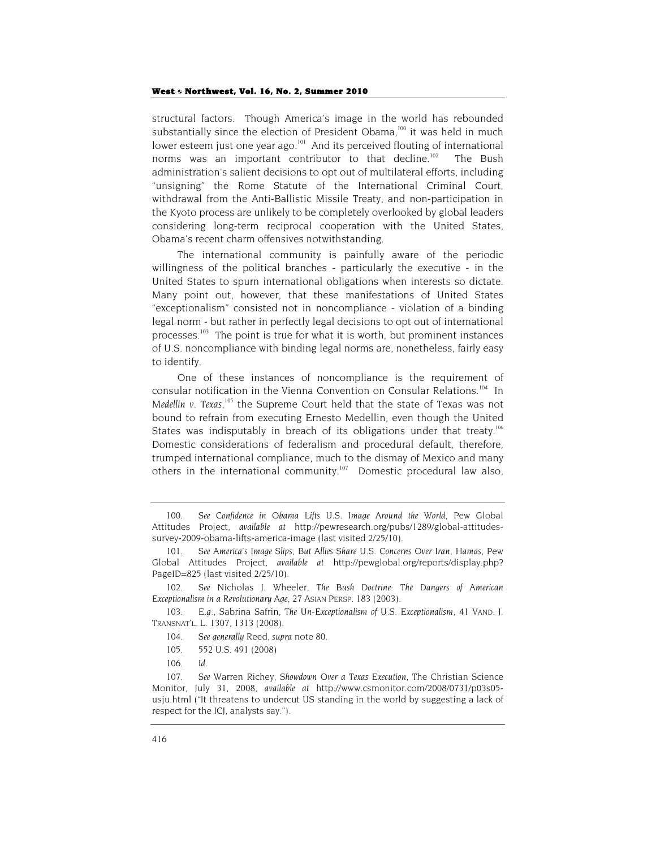structural factors. Though America's image in the world has rebounded substantially since the election of President Obama,<sup>100</sup> it was held in much lower esteem just one year ago.<sup>101</sup> And its perceived flouting of international norms was an important contributor to that decline.<sup>102</sup> The Bush administration's salient decisions to opt out of multilateral efforts, including "unsigning" the Rome Statute of the International Criminal Court, withdrawal from the Anti-Ballistic Missile Treaty, and non-participation in the Kyoto process are unlikely to be completely overlooked by global leaders considering long-term reciprocal cooperation with the United States, Obama's recent charm offensives notwithstanding.

The international community is painfully aware of the periodic willingness of the political branches - particularly the executive - in the United States to spurn international obligations when interests so dictate. Many point out, however, that these manifestations of United States "exceptionalism" consisted not in noncompliance - violation of a binding legal norm - but rather in perfectly legal decisions to opt out of international processes.<sup>103</sup> The point is true for what it is worth, but prominent instances of U.S. noncompliance with binding legal norms are, nonetheless, fairly easy to identify.

One of these instances of noncompliance is the requirement of consular notification in the Vienna Convention on Consular Relations.<sup>104</sup> In Medellin v. Texas,<sup>105</sup> the Supreme Court held that the state of Texas was not bound to refrain from executing Ernesto Medellin, even though the United States was indisputably in breach of its obligations under that treaty.<sup>106</sup> Domestic considerations of federalism and procedural default, therefore, trumped international compliance, much to the dismay of Mexico and many others in the international community.<sup>107</sup> Domestic procedural law also,

<sup>100.</sup> *See Confidence in Obama Lifts U.S. Image Around the World*, Pew Global Attitudes Project, *available at* http://pewresearch.org/pubs/1289/global-attitudessurvey-2009-obama-lifts-america-image (last visited 2/25/10).

<sup>101.</sup> *See America's Image Slips, But Allies Share U.S. Concerns Over Iran, Hamas*, Pew Global Attitudes Project, *available at* http://pewglobal.org/reports/display.php? PageID=825 (last visited 2/25/10).

<sup>102.</sup> *See* Nicholas J. Wheeler, *The Bush Doctrine: The Dangers of American Exceptionalism in a Revolutionary Age*, 27 ASIAN PERSP. 183 (2003).

<sup>103.</sup> *E.g*., Sabrina Safrin, *The Un-Exceptionalism of U.S. Exceptionalism*, 41 VAND. J. TRANSNAT'L. L. 1307, 1313 (2008).

<sup>104.</sup> *See generally* Reed, *supra* note 80.

<sup>105. 552</sup> U.S. 491 (2008)

<sup>106.</sup> *Id.*

<sup>107.</sup> *See* Warren Richey, *Showdown Over a Texas Execution*, The Christian Science Monitor, July 31, 2008, *available at* http://www.csmonitor.com/2008/0731/p03s05 usju.html ("It threatens to undercut US standing in the world by suggesting a lack of respect for the ICJ, analysts say.").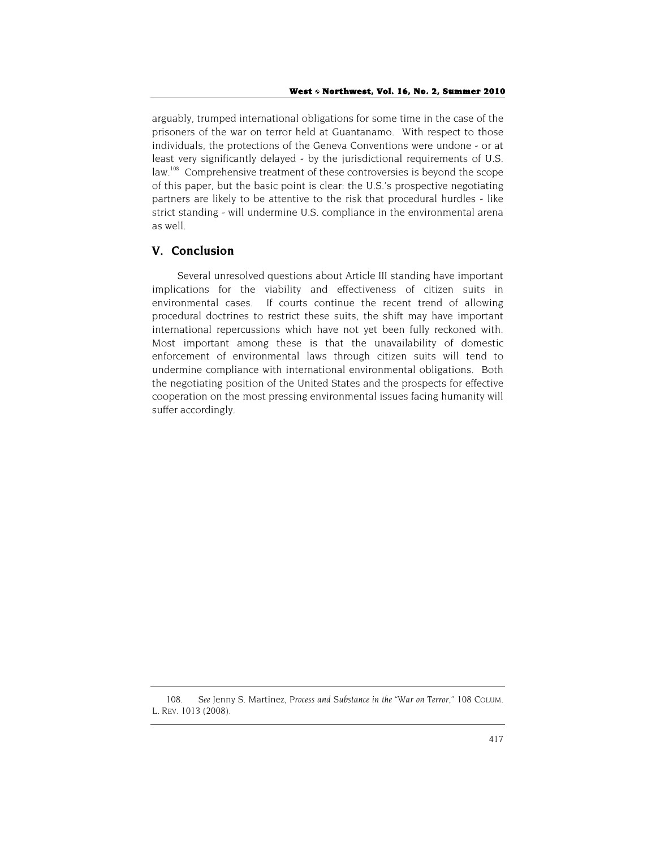arguably, trumped international obligations for some time in the case of the prisoners of the war on terror held at Guantanamo. With respect to those individuals, the protections of the Geneva Conventions were undone - or at least very significantly delayed - by the jurisdictional requirements of U.S. law.<sup>108</sup> Comprehensive treatment of these controversies is beyond the scope of this paper, but the basic point is clear: the U.S.'s prospective negotiating partners are likely to be attentive to the risk that procedural hurdles - like strict standing - will undermine U.S. compliance in the environmental arena as well.

## **V. Conclusion**

Several unresolved questions about Article III standing have important implications for the viability and effectiveness of citizen suits in environmental cases. If courts continue the recent trend of allowing procedural doctrines to restrict these suits, the shift may have important international repercussions which have not yet been fully reckoned with. Most important among these is that the unavailability of domestic enforcement of environmental laws through citizen suits will tend to undermine compliance with international environmental obligations. Both the negotiating position of the United States and the prospects for effective cooperation on the most pressing environmental issues facing humanity will suffer accordingly.

<sup>108.</sup> *See* Jenny S. Martinez, *Process and Substance in the "War on Terror,"* 108 COLUM. L. REV. 1013 (2008).